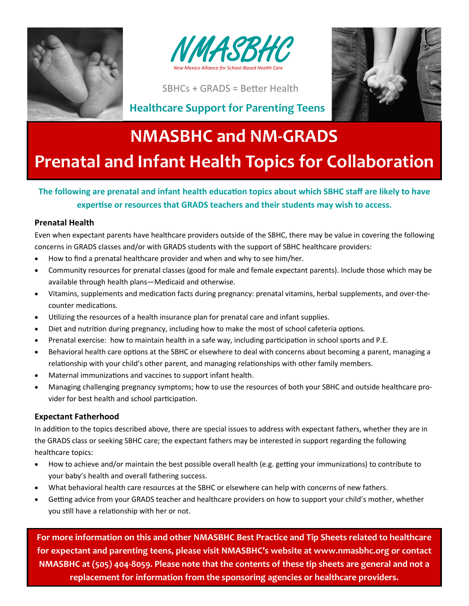



SBHCs + GRADS = Better Health



### **Healthcare Support for Parenting Teens**

# **NMASBHC and NM-GRADS Prenatal and Infant Health Topics for Collaboration**

#### **The following are prenatal and infant health education topics about which SBHC staff are likely to have expertise or resources that GRADS teachers and their students may wish to access.**

#### **Prenatal Health**

Even when expectant parents have healthcare providers outside of the SBHC, there may be value in covering the following concerns in GRADS classes and/or with GRADS students with the support of SBHC healthcare providers:

- How to find a prenatal healthcare provider and when and why to see him/her.
- Community resources for prenatal classes (good for male and female expectant parents). Include those which may be available through health plans—Medicaid and otherwise.
- Vitamins, supplements and medication facts during pregnancy: prenatal vitamins, herbal supplements, and over-thecounter medications.
- Utilizing the resources of a health insurance plan for prenatal care and infant supplies.
- Diet and nutrition during pregnancy, including how to make the most of school cafeteria options.
- Prenatal exercise: how to maintain health in a safe way, including participation in school sports and P.E.
- Behavioral health care options at the SBHC or elsewhere to deal with concerns about becoming a parent, managing a relationship with your child's other parent, and managing relationships with other family members.
- Maternal immunizations and vaccines to support infant health.
- Managing challenging pregnancy symptoms; how to use the resources of both your SBHC and outside healthcare provider for best health and school participation.

#### **Expectant Fatherhood**

In addition to the topics described above, there are special issues to address with expectant fathers, whether they are in the GRADS class or seeking SBHC care; the expectant fathers may be interested in support regarding the following healthcare topics:

- How to achieve and/or maintain the best possible overall health (e.g. getting your immunizations) to contribute to your baby's health and overall fathering success.
- What behavioral health care resources at the SBHC or elsewhere can help with concerns of new fathers.
- Getting advice from your GRADS teacher and healthcare providers on how to support your child's mother, whether you still have a relationship with her or not.

**For more information on this and other NMASBHC Best Practice and Tip Sheets related to healthcare for expectant and parenting teens, please visit NMASBHC's website at www.nmasbhc.org or contact NMASBHC at (505) 404-8059. Please note that the contents of these tip sheets are general and not a replacement for information from the sponsoring agencies or healthcare providers.**